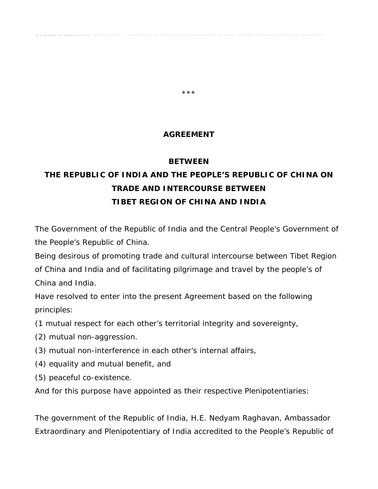#### **AGREEMENT**

\*\*\*

prevented from approaching the Indian

#### **BETWEEN**

# **THE REPUBLIC OF INDIA AND THE PEOPLE'S REPUBLIC OF CHINA ON TRADE AND INTERCOURSE BETWEEN TIBET REGION OF CHINA AND INDIA**

The Government of the Republic of India and the Central People's Government of the People's Republic of China.

Being desirous of promoting trade and cultural intercourse between Tibet Region of China and India and of facilitating pilgrimage and travel by the people's of China and India.

Have resolved to enter into the present Agreement based on the following principles:

- (1 mutual respect for each other's territorial integrity and sovereignty,
- (2) mutual non-aggression.
- (3) mutual non-interference in each other's internal affairs,
- (4) equality and mutual benefit, and

protest against Bhutan couriers being

Trade Agency.

- (5) peaceful co-existence.
- And for this purpose have appointed as their respective Plenipotentiaries:

The government of the Republic of India, H.E. Nedyam Raghavan, Ambassador Extraordinary and Plenipotentiary of India accredited to the People's Republic of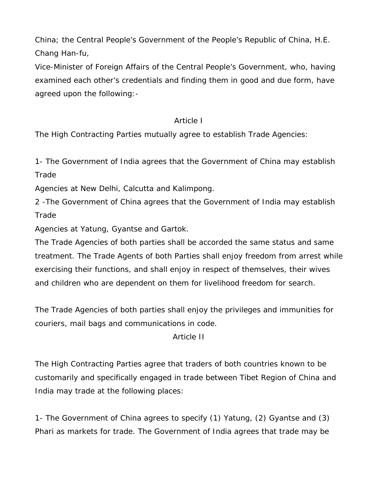China; the Central People's Government of the People's Republic of China, H.E. Chang Han-fu,

Vice-Minister of Foreign Affairs of the Central People's Government, who, having examined each other's credentials and finding them in good and due form, have agreed upon the following:-

#### *Article I*

The High Contracting Parties mutually agree to establish Trade Agencies:

1- The Government of India agrees that the Government of China may establish **Trade** 

Agencies at New Delhi, Calcutta and Kalimpong.

2 -The Government of China agrees that the Government of India may establish **Trade** 

Agencies at Yatung, Gyantse and Gartok.

The Trade Agencies of both parties shall be accorded the same status and same treatment. The Trade Agents of both Parties shall enjoy freedom from arrest while exercising their functions, and shall enjoy in respect of themselves, their wives and children who are dependent on them for livelihood freedom for search.

The Trade Agencies of both parties shall enjoy the privileges and immunities for couriers, mail bags and communications in code.

*Article II* 

The High Contracting Parties agree that traders of both countries known to be customarily and specifically engaged in trade between Tibet Region of China and India may trade at the following places:

1- The Government of China agrees to specify (1) Yatung, (2) Gyantse and (3) Phari as markets for trade. The Government of India agrees that trade may be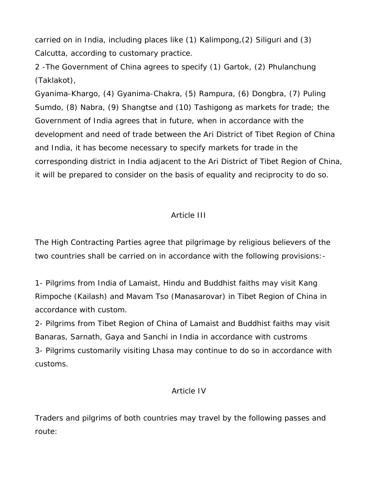carried on in India, including places like (1) Kalimpong,(2) Siliguri and (3) Calcutta, according to customary practice.

2 -The Government of China agrees to specify (1) Gartok, (2) Phulanchung (Taklakot),

Gyanima-Khargo, (4) Gyanima-Chakra, (5) Rampura, (6) Dongbra, (7) Puling Sumdo, (8) Nabra, (9) Shangtse and (10) Tashigong as markets for trade; the Government of India agrees that in future, when in accordance with the development and need of trade between the Ari District of Tibet Region of China and India, it has become necessary to specify markets for trade in the corresponding district in India adjacent to the Ari District of Tibet Region of China, it will be prepared to consider on the basis of equality and reciprocity to do so.

#### *Article III*

The High Contracting Parties agree that pilgrimage by religious believers of the two countries shall be carried on in accordance with the following provisions:-

1- Pilgrims from India of Lamaist, Hindu and Buddhist faiths may visit Kang Rimpoche (Kailash) and Mavam Tso (Manasarovar) in Tibet Region of China in accordance with custom.

2- Pilgrims from Tibet Region of China of Lamaist and Buddhist faiths may visit Banaras, Sarnath, Gaya and Sanchi in India in accordance with custroms 3- Pilgrims customarily visiting Lhasa may continue to do so in accordance with customs.

#### *Article IV*

Traders and pilgrims of both countries may travel by the following passes and route: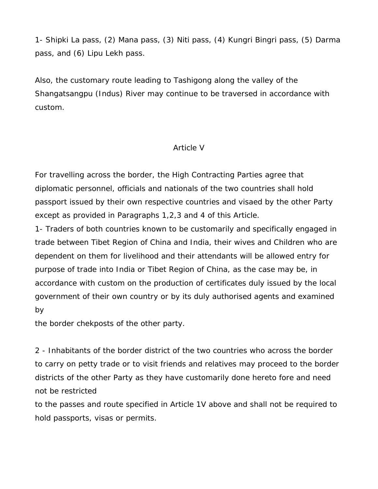1- Shipki La pass, (2) Mana pass, (3) Niti pass, (4) Kungri Bingri pass, (5) Darma pass, and (6) Lipu Lekh pass.

Also, the customary route leading to Tashigong along the valley of the Shangatsangpu (Indus) River may continue to be traversed in accordance with custom.

#### *Article V*

For travelling across the border, the High Contracting Parties agree that diplomatic personnel, officials and nationals of the two countries shall hold passport issued by their own respective countries and visaed by the other Party except as provided in Paragraphs 1,2,3 and 4 of this Article.

1- Traders of both countries known to be customarily and specifically engaged in trade between Tibet Region of China and India, their wives and Children who are dependent on them for livelihood and their attendants will be allowed entry for purpose of trade into India or Tibet Region of China, as the case may be, in accordance with custom on the production of certificates duly issued by the local government of their own country or by its duly authorised agents and examined by

the border chekposts of the other party.

2 - Inhabitants of the border district of the two countries who across the border to carry on petty trade or to visit friends and relatives may proceed to the border districts of the other Party as they have customarily done hereto fore and need not be restricted

to the passes and route specified in Article 1V above and shall not be required to hold passports, visas or permits.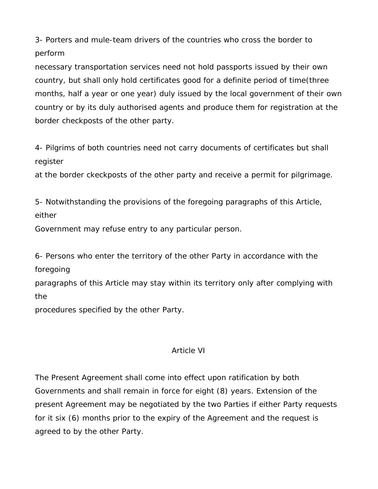3- Porters and mule-team drivers of the countries who cross the border to perform

necessary transportation services need not hold passports issued by their own country, but shall only hold certificates good for a definite period of time(three months, half a year or one year) duly issued by the local government of their own country or by its duly authorised agents and produce them for registration at the border checkposts of the other party.

4- Pilgrims of both countries need not carry documents of certificates but shall register

at the border ckeckposts of the other party and receive a permit for pilgrimage.

5- Notwithstanding the provisions of the foregoing paragraphs of this Article, either

Government may refuse entry to any particular person.

6- Persons who enter the territory of the other Party in accordance with the foregoing

paragraphs of this Article may stay within its territory only after complying with the

procedures specified by the other Party.

### *Article VI*

The Present Agreement shall come into effect upon ratification by both Governments and shall remain in force for eight (8) years. Extension of the present Agreement may be negotiated by the two Parties if either Party requests for it six (6) months prior to the expiry of the Agreement and the request is agreed to by the other Party.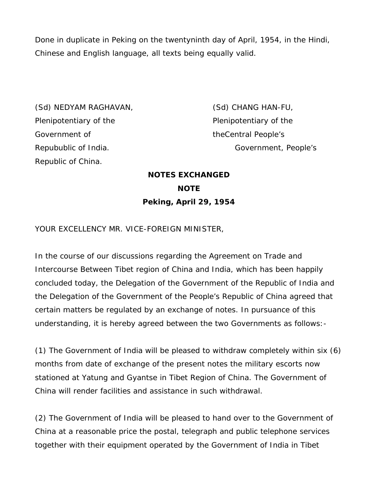Done in duplicate in Peking on the twentyninth day of April, 1954, in the Hindi, Chinese and English language, all texts being equally valid.

(Sd) NEDYAM RAGHAVAN, (Sd) CHANG HAN-FU, Plenipotentiary of the Plenipotentiary of the Government of theCentral People's Republic of China.

Repubublic of India. Government, People's

## **NOTES EXCHANGED NOTE Peking, April 29, 1954**

YOUR EXCELLENCY MR. VICE-FOREIGN MINISTER,

In the course of our discussions regarding the Agreement on Trade and Intercourse Between Tibet region of China and India, which has been happily concluded today, the Delegation of the Government of the Republic of India and the Delegation of the Government of the People's Republic of China agreed that certain matters be regulated by an exchange of notes. In pursuance of this understanding, it is hereby agreed between the two Governments as follows:-

(1) The Government of India will be pleased to withdraw completely within six (6) months from date of exchange of the present notes the military escorts now stationed at Yatung and Gyantse in Tibet Region of China. The Government of China will render facilities and assistance in such withdrawal.

(2) The Government of India will be pleased to hand over to the Government of China at a reasonable price the postal, telegraph and public telephone services together with their equipment operated by the Government of India in Tibet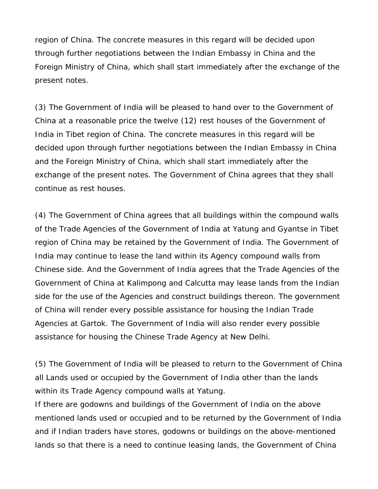region of China. The concrete measures in this regard will be decided upon through further negotiations between the Indian Embassy in China and the Foreign Ministry of China, which shall start immediately after the exchange of the present notes.

(3) The Government of India will be pleased to hand over to the Government of China at a reasonable price the twelve (12) rest houses of the Government of India in Tibet region of China. The concrete measures in this regard will be decided upon through further negotiations between the Indian Embassy in China and the Foreign Ministry of China, which shall start immediately after the exchange of the present notes. The Government of China agrees that they shall continue as rest houses.

(4) The Government of China agrees that all buildings within the compound walls of the Trade Agencies of the Government of India at Yatung and Gyantse in Tibet region of China may be retained by the Government of India. The Government of India may continue to lease the land within its Agency compound walls from Chinese side. And the Government of India agrees that the Trade Agencies of the Government of China at Kalimpong and Calcutta may lease lands from the Indian side for the use of the Agencies and construct buildings thereon. The government of China will render every possible assistance for housing the Indian Trade Agencies at Gartok. The Government of India will also render every possible assistance for housing the Chinese Trade Agency at New Delhi.

(5) The Government of India will be pleased to return to the Government of China all Lands used or occupied by the Government of India other than the lands within its Trade Agency compound walls at Yatung.

If there are godowns and buildings of the Government of India on the above mentioned lands used or occupied and to be returned by the Government of India and if Indian traders have stores, godowns or buildings on the above-mentioned lands so that there is a need to continue leasing lands, the Government of China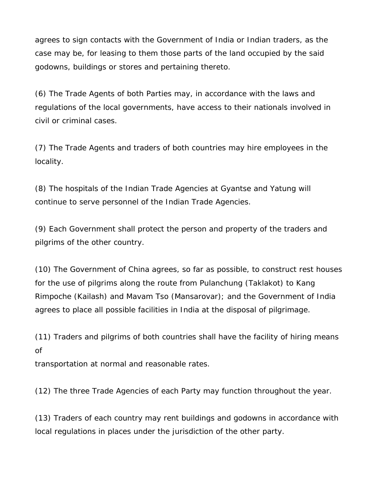agrees to sign contacts with the Government of India or Indian traders, as the case may be, for leasing to them those parts of the land occupied by the said godowns, buildings or stores and pertaining thereto.

(6) The Trade Agents of both Parties may, in accordance with the laws and regulations of the local governments, have access to their nationals involved in civil or criminal cases.

(7) The Trade Agents and traders of both countries may hire employees in the locality.

(8) The hospitals of the Indian Trade Agencies at Gyantse and Yatung will continue to serve personnel of the Indian Trade Agencies.

(9) Each Government shall protect the person and property of the traders and pilgrims of the other country.

(10) The Government of China agrees, so far as possible, to construct rest houses for the use of pilgrims along the route from Pulanchung (Taklakot) to Kang Rimpoche (Kailash) and Mavam Tso (Mansarovar); and the Government of India agrees to place all possible facilities in India at the disposal of pilgrimage.

(11) Traders and pilgrims of both countries shall have the facility of hiring means of

transportation at normal and reasonable rates.

(12) The three Trade Agencies of each Party may function throughout the year.

(13) Traders of each country may rent buildings and godowns in accordance with local regulations in places under the jurisdiction of the other party.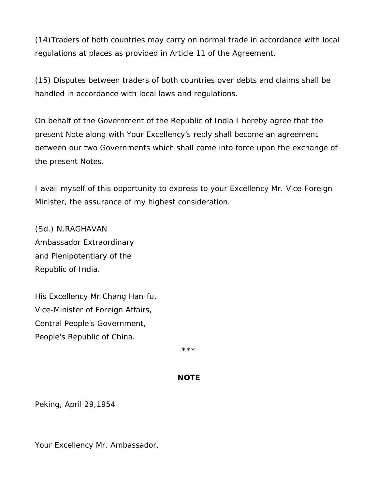(14)Traders of both countries may carry on normal trade in accordance with local regulations at places as provided in Article 11 of the Agreement.

(15) Disputes between traders of both countries over debts and claims shall be handled in accordance with local laws and regulations.

On behalf of the Government of the Republic of India I hereby agree that the present Note along with Your Excellency's reply shall become an agreement between our two Governments which shall come into force upon the exchange of the present Notes.

I avail myself of this opportunity to express to your Excellency Mr. Vice-Foreign Minister, the assurance of my highest consideration.

(Sd.) N.RAGHAVAN Ambassador Extraordinary and Plenipotentiary of the Republic of India.

His Excellency Mr.Chang Han-fu, Vice-Minister of Foreign Affairs, Central People's Government, People's Republic of China.

\*\*\*

#### **NOTE**

Peking, April 29,1954

Your Excellency Mr. Ambassador,